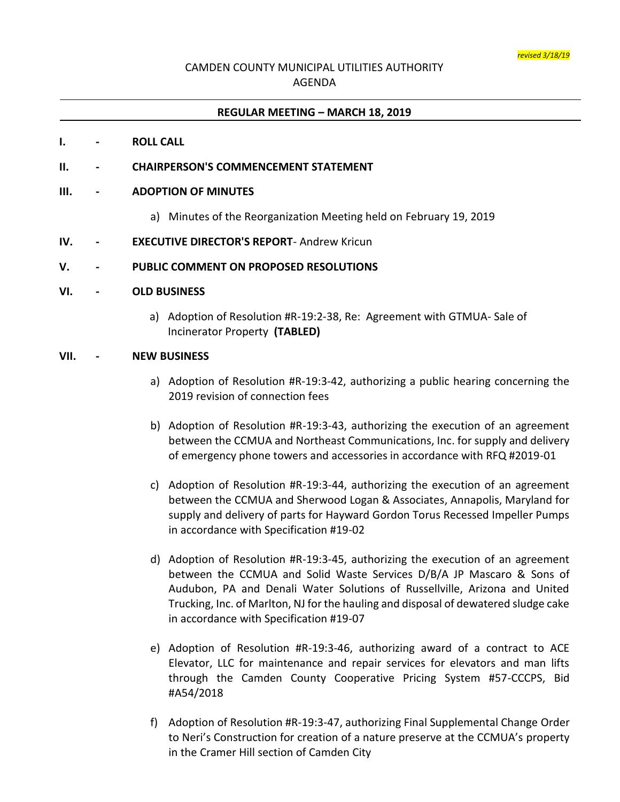# CAMDEN COUNTY MUNICIPAL UTILITIES AUTHORITY AGENDA

## **REGULAR MEETING – MARCH 18, 2019**

### **I. - ROLL CALL**

## **II. - CHAIRPERSON'S COMMENCEMENT STATEMENT**

### **III. - ADOPTION OF MINUTES**

- a) Minutes of the Reorganization Meeting held on February 19, 2019
- **IV. - EXECUTIVE DIRECTOR'S REPORT** Andrew Kricun

### **V. - PUBLIC COMMENT ON PROPOSED RESOLUTIONS**

#### **VI. - OLD BUSINESS**

a) Adoption of Resolution #R-19:2-38, Re: Agreement with GTMUA- Sale of Incinerator Property **(TABLED)**

## **VII. - NEW BUSINESS**

- a) Adoption of Resolution #R-19:3-42, authorizing a public hearing concerning the 2019 revision of connection fees
- b) Adoption of Resolution #R-19:3-43, authorizing the execution of an agreement between the CCMUA and Northeast Communications, Inc. for supply and delivery of emergency phone towers and accessories in accordance with RFQ #2019-01
- c) Adoption of Resolution #R-19:3-44, authorizing the execution of an agreement between the CCMUA and Sherwood Logan & Associates, Annapolis, Maryland for supply and delivery of parts for Hayward Gordon Torus Recessed Impeller Pumps in accordance with Specification #19-02
- d) Adoption of Resolution #R-19:3-45, authorizing the execution of an agreement between the CCMUA and Solid Waste Services D/B/A JP Mascaro & Sons of Audubon, PA and Denali Water Solutions of Russellville, Arizona and United Trucking, Inc. of Marlton, NJ for the hauling and disposal of dewatered sludge cake in accordance with Specification #19-07
- e) Adoption of Resolution #R-19:3-46, authorizing award of a contract to ACE Elevator, LLC for maintenance and repair services for elevators and man lifts through the Camden County Cooperative Pricing System #57-CCCPS, Bid #A54/2018
- f) Adoption of Resolution #R-19:3-47, authorizing Final Supplemental Change Order to Neri's Construction for creation of a nature preserve at the CCMUA's property in the Cramer Hill section of Camden City